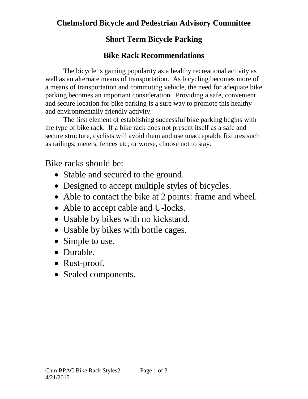### **Chelmsford Bicycle and Pedestrian Advisory Committee**

### **Short Term Bicycle Parking**

### **Bike Rack Recommendations**

The bicycle is gaining popularity as a healthy recreational activity as well as an alternate means of transportation. As bicycling becomes more of a means of transportation and commuting vehicle, the need for adequate bike parking becomes an important consideration. Providing a safe, convenient and secure location for bike parking is a sure way to promote this healthy and environmentally friendly activity.

The first element of establishing successful bike parking begins with the type of bike rack. If a bike rack does not present itself as a safe and secure structure, cyclists will avoid them and use unacceptable fixtures such as railings, meters, fences etc, or worse, choose not to stay.

Bike racks should be:

- Stable and secured to the ground.
- Designed to accept multiple styles of bicycles.
- Able to contact the bike at 2 points: frame and wheel.
- Able to accept cable and U-locks.
- Usable by bikes with no kickstand.
- Usable by bikes with bottle cages.
- Simple to use.
- Durable.
- Rust-proof.
- Sealed components.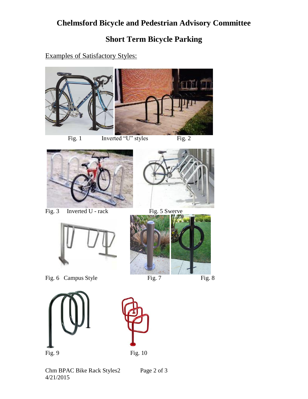# **Chelmsford Bicycle and Pedestrian Advisory Committee**

# **Short Term Bicycle Parking**

#### Examples of Satisfactory Styles:



Fig. 1 Inverted "U" styles Fig. 2



Fig. 3 Inverted U - rack Fig. 5 Swerve





Fig. 6 Campus Style Fig. 7 Fig. 8





Chm BPAC Bike Rack Styles2 Page 2 of 3 4/21/2015